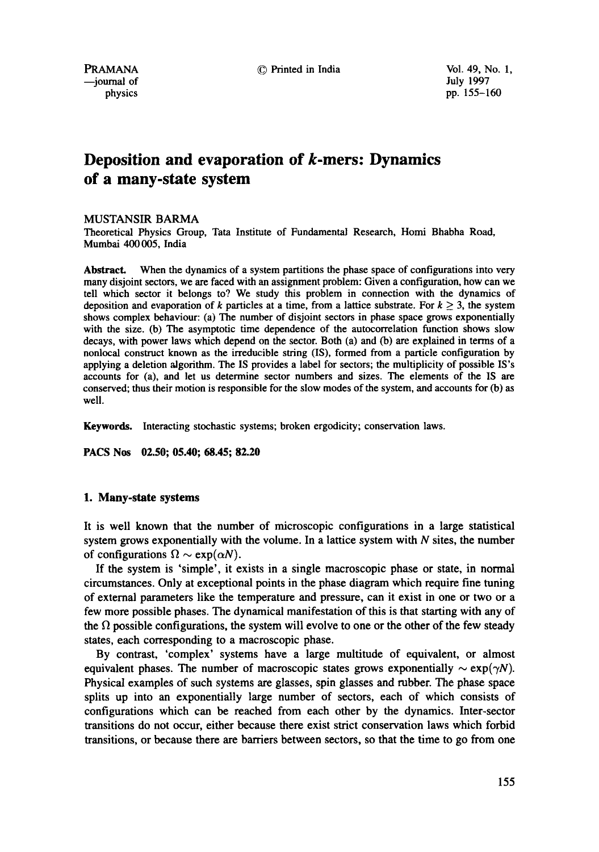physics pp. 155-160

# **Deposition and evaporation of k-mers: Dynamics of a many-state system**

#### MUSTANSIR BARMA

Theoretical Physics Group, Tata Institute of Fundamental Research, Homi Bhabha Road, Mumbai 400 005, India

**Abstract.** When the dynamics of a system partitions the phase space of configurations into very many disjoint sectors, we are faced with an assignment problem: Given a configuration, how can we tell which sector it belongs to? We study this problem in connection with the dynamics of deposition and evaporation of k particles at a time, from a lattice substrate. For  $k \geq 3$ , the system shows complex behaviour: (a) The number of disjoint sectors in phase space grows exponentially with the size. (b) The asymptotic time dependence of the autocorrelation function shows slow decays, with power laws which depend on the sector. Both (a) and (b) are explained in terms of a nonlocai construct known as the irreducible string (IS), formed from a particle configuration by applying a deletion algorithm. The IS provides a label for sectors; the multiplicity of possible IS's accounts for (a), and let us determine sector numbers and sizes. The elements of the IS are conserved; thus their motion is responsible for the slow modes of the system, and accounts for (b) as well.

Keywords. Interacting stochastic systems; broken ergodicity; conservation laws.

**PACS Nos 02.50; 05.40; 68.45; 82.20** 

#### **1. Many-state systems**

It is well known that the number of microscopic configurations in a large statistical system grows exponentially with the volume. In a lattice system with  $N$  sites, the number of configurations  $\Omega \sim \exp(\alpha N)$ .

If the system is 'simple', it exists in a single macroscopic phase or state, in normal circumstances. Only at exceptional points in the phase diagram which require fine tuning of external parameters like the temperature and pressure, can it exist in one or two or a few more possible phases. The dynamical manifestation of this is that starting with any of the  $\Omega$  possible configurations, the system will evolve to one or the other of the few steady states, each corresponding to a macroscopic phase.

By contrast, 'complex' systems have a large multitude of equivalent, or almost equivalent phases. The number of macroscopic states grows exponentially  $\sim \exp(\gamma N)$ . Physical examples of such systems are glasses, spin glasses and rubber. The phase space splits up into an exponentially large number of sectors, each of which consists of configurations which can be reached from each other by the dynamics. Inter-sector transitions do not occur, either because there exist strict conservation laws which forbid transitions, or because there are barriers between sectors, so that the time to go from one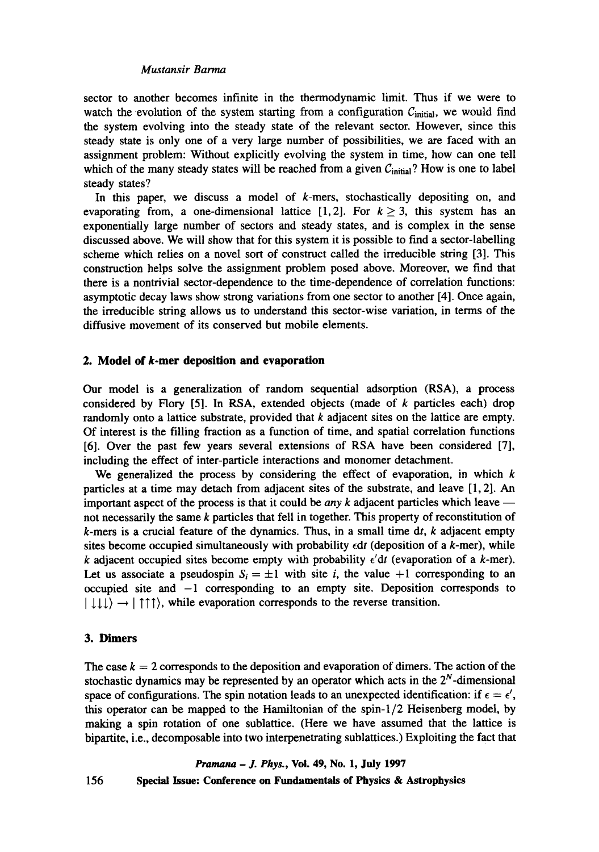## *Mustansir Barma*

sector to another becomes infinite in the thermodynamic limit. Thus if we were to watch the evolution of the system starting from a configuration  $C<sub>initial</sub>$ , we would find the system evolving into the steady state of the relevant sector. However, since this steady state is only one of a very large number of possibilities, we are faced with an assignment problem: Without explicitly evolving the system in time, how can one tell which of the many steady states will be reached from a given  $C_{initial}$ ? How is one to label steady states?

In this paper, we discuss a model of  $k$ -mers, stochastically depositing on, and evaporating from, a one-dimensional lattice [1,2]. For  $k \ge 3$ , this system has an exponentially large number of sectors and steady states, and is complex in the sense discussed above. We will show that for this system it is possible to find a sector-labelling scheme which relies on a novel sort of construct called the irreducible string [3]. This construction helps solve the assignment problem posed above. Moreover, we find that there is a nontrivial sector-dependence to the time-dependence of correlation functions: asymptotic decay laws show strong variations from one sector to another [4]. Once again, the irreducible string allows us to understand this sector-wise variation, in terms of the diffusive movement of its conserved but mobile elements.

## **2. Model of k-mer deposition and evaporation**

Our model is a generalization of random sequential adsorption (RSA), a process considered by Flory [5]. In RSA, extended objects (made of  $k$  particles each) drop randomly onto a lattice substrate, provided that  $k$  adjacent sites on the lattice are empty. Of interest is the filling fraction as a function of time, and spatial correlation functions [6]. Over the past few years several extensions of RSA have been considered [71, including the effect of inter-particle interactions and monomer detachment.

We generalized the process by considering the effect of evaporation, in which  $k$ particles at a time may detach from adjacent sites of the substrate, and leave [1, 2]. An important aspect of the process is that it could be *any*  $k$  adjacent particles which leave  $$ not necessarily the same  $k$  particles that fell in together. This property of reconstitution of  $k$ -mers is a crucial feature of the dynamics. Thus, in a small time dt,  $k$  adjacent empty sites become occupied simultaneously with probability  $\epsilon dt$  (deposition of a k-mer), while k adjacent occupied sites become empty with probability  $\epsilon' dt$  (evaporation of a k-mer). Let us associate a pseudospin  $S_i = \pm 1$  with site *i*, the value +1 corresponding to an occupied site and  $-1$  corresponding to an empty site. Deposition corresponds to  $| \downarrow \downarrow \downarrow \rangle \rightarrow | \uparrow \uparrow \uparrow \rangle$ , while evaporation corresponds to the reverse transition.

## **3. Dimers**

The case  $k = 2$  corresponds to the deposition and evaporation of dimers. The action of the stochastic dynamics may be represented by an operator which acts in the  $2^N$ -dimensional space of configurations. The spin notation leads to an unexpected identification: if  $\epsilon = \epsilon'$ , this operator can be mapped to the Hamiltonian of the spin-l/2 Heisenberg model, by making a spin rotation of one sublattice. (Here we have assumed that the lattice is bipartite, i.e., decomposable into two interpenetrating sublattices.) Exploiting the fact that

## *Pramana - J. Phys.,* Voi. 49, No. 1, July 1997

156 Special **Issue: Conference on Fundamentals of Physics & Astrophysics**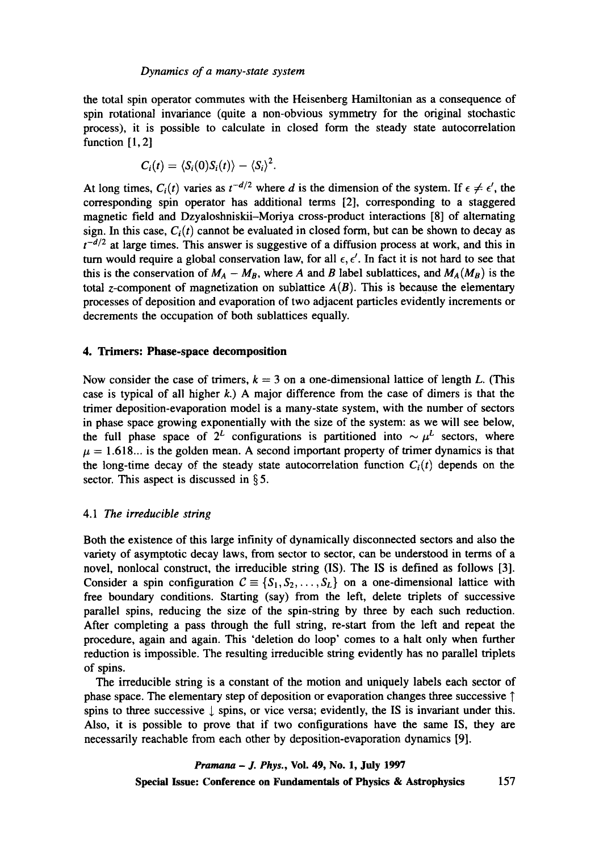the total spin operator commutes with the Heisenberg Hamiltonian as a consequence of spin rotational invariance (quite a non-obvious symmetry for the original stochastic process), it is possible to calculate in closed form the steady state autocorrelation function [1, 2]

$$
C_i(t) = \langle S_i(0)S_i(t) \rangle - \langle S_i \rangle^2.
$$

At long times,  $C_i(t)$  varies as  $t^{-d/2}$  where d is the dimension of the system. If  $\epsilon \neq \epsilon'$ , the corresponding spin operator has additional terms [2], corresponding to a staggered magnetic field and Dzyaloshniskii-Moriya cross-product interactions [8] of alternating sign. In this case,  $C_i(t)$  cannot be evaluated in closed form, but can be shown to decay as  $t^{-d/2}$  at large times. This answer is suggestive of a diffusion process at work, and this in turn would require a global conservation law, for all  $\epsilon, \epsilon'$ . In fact it is not hard to see that this is the conservation of  $M_A - M_B$ , where A and B label sublattices, and  $M_A(M_B)$  is the total z-component of magnetization on sublattice  $A(B)$ . This is because the elementary processes of deposition and evaporation of two adjacent particles evidently increments or decrements the occupation of both sublattices equally.

## **4. Trimers: Phase-space decomposition**

Now consider the case of trimers,  $k = 3$  on a one-dimensional lattice of length L. (This case is typical of all higher  $k$ .) A major difference from the case of dimers is that the trimer deposition-evaporation model is a many-state system, with the number of sectors in phase space growing exponentially with the size of the system: as we will see below, the full phase space of  $2^L$  configurations is partitioned into  $\sim \mu^L$  sectors, where  $\mu = 1.618...$  is the golden mean. A second important property of trimer dynamics is that the long-time decay of the steady state autocorrelation function  $C_i(t)$  depends on the sector. This aspect is discussed in § 5.

## 4.1 *The irreducible string*

Both the existence of this large infinity of dynamically disconnected sectors and also the variety of asymptotic decay laws, from sector to sector, can be understood in terms of a novel, nonlocal construct, the irreducible string (IS). The IS is defined as follows [3]. Consider a spin configuration  $C = \{S_1, S_2, \ldots, S_L\}$  on a one-dimensional lattice with free boundary conditions. Starting (say) from the left, delete triplets of successive parallel spins, reducing the size of the spin-string by three by each such reduction. After completing a pass through the full string, re-start from the left and repeat the procedure, again and again. This 'deletion do loop' comes to a halt only when further reduction is impossible. The resulting irreducible string evidently has no parallel triplets of spins.

The irreducible string is a constant of the motion and uniquely labels each sector of phase space. The elementary step of deposition or evaporation changes three successive T spins to three successive  $\downarrow$  spins, or vice versa; evidently, the IS is invariant under this. Also, it is possible to prove that if two configurations have the same IS, they are necessarily reachable from each other by deposition-evaporation dynamics [9].

> *Pramana - J. Phys.,* Vol. 49, No. 1, July 1997 Special **Issue: Conference on Fundamentals of Physics & Astrophysics** 157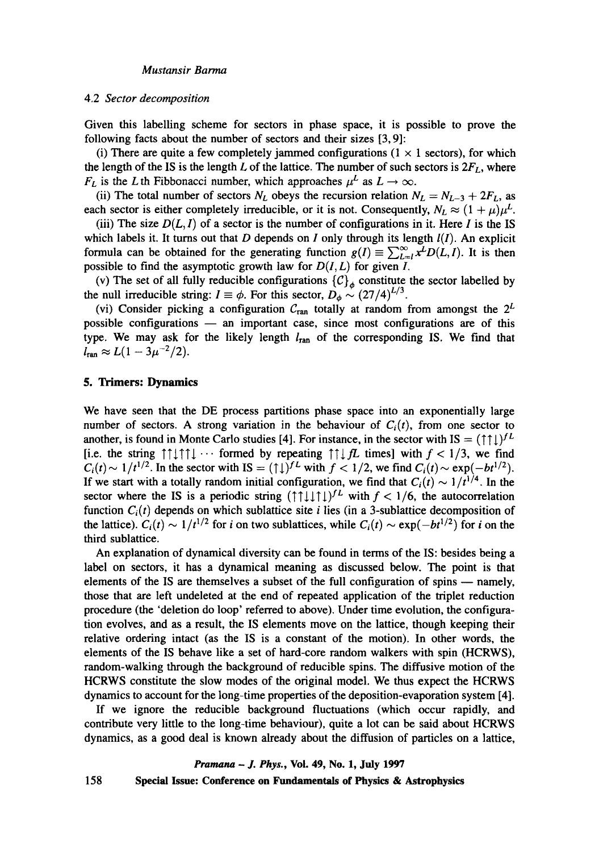#### *Mustansir Barma*

#### 4.2 *Sector decomposition*

Given this labelling scheme for sectors in phase space, it is possible to prove the following facts about the number of sectors and their sizes [3, 9]:

(i) There are quite a few completely jammed configurations  $(1 \times 1$  sectors), for which the length of the IS is the length L of the lattice. The number of such sectors is  $2F<sub>L</sub>$ , where  $F_L$  is the L th Fibbonacci number, which approaches  $\mu^L$  as  $L \to \infty$ .

(ii) The total number of sectors  $N_L$  obeys the recursion relation  $N_L = N_{L-3} + 2F_L$ , as each sector is either completely irreducible, or it is not. Consequently,  $N_L \approx (1 + \mu)\mu^L$ .

(iii) The size  $D(L, I)$  of a sector is the number of configurations in it. Here I is the IS which labels it. It turns out that  $D$  depends on  $I$  only through its length  $I(I)$ . An explicit formula can be obtained for the generating function  $g(I) = \sum_{L=1}^{\infty} x^L D(L, I)$ . It is then possible to find the asymptotic growth law for  $D(I, L)$  for given I.

(v) The set of all fully reducible configurations  ${C}_\phi$  constitute the sector labelled by the null irreducible string:  $I \equiv \phi$ . For this sector,  $D_{\phi} \sim (27/4)^{L/3}$ .

(vi) Consider picking a configuration  $C_{\text{ran}}$  totally at random from amongst the  $2^L$ possible configurations  $-$  an important case, since most configurations are of this type. We may ask for the likely length  $l_{\text{ran}}$  of the corresponding IS. We find that  $l_{\text{ran}} \approx L(1 - 3\mu^{-2}/2).$ 

#### 5. Trimers: Dynamics

We have seen that the DE process partitions phase space into an exponentially large number of sectors. A strong variation in the behaviour of  $C<sub>i</sub>(t)$ , from one sector to another, is found in Monte Carlo studies [4]. For instance, in the sector with IS =  $(1\uparrow\downarrow)$ <sup>L</sup> [i.e. the string  $\uparrow \uparrow \downarrow \uparrow \uparrow \downarrow \cdots$  formed by repeating  $\uparrow \uparrow \downarrow \uparrow \mathcal{L}$  times] with  $f < 1/3$ , we find  $C_i(t) \sim 1/t^{1/2}$ . In the sector with IS =  $(\uparrow \downarrow)^{f}$  with  $f < 1/2$ , we find  $C_i(t) \sim \exp(-bt^{1/2})$ . If we start with a totally random initial configuration, we find that  $C_i(t) \sim 1/t^{1/4}$ . In the sector where the IS is a periodic string  $(\dagger \dagger \dagger \dagger \dagger)$  with  $f < 1/6$ , the autocorrelation function  $C_i(t)$  depends on which sublattice site *i* lies (in a 3-sublattice decomposition of the lattice).  $C_i(t) \sim 1/t^{1/2}$  for i on two sublattices, while  $C_i(t) \sim \exp(-bt^{1/2})$  for i on the third sublattice.

An explanation of dynamical diversity can be found in terms of the IS: besides being a label on sectors, it has a dynamical meaning as discussed below. The point is that elements of the IS are themselves a subset of the full configuration of spins  $-$  namely, those that are left undeleted at the end of repeated application of the triplet reduction procedure (the 'deletion do loop' referred to above). Under time evolution, the configuration evolves, and as a result, the IS elements move on the lattice, though keeping their relative ordering intact (as the IS is a constant of the motion). In other words, the elements of the IS behave like a set of hard-core random walkers with spin (HCRWS), random-walking through the background of reducible spins. The diffusive motion of the HCRWS constitute the slow modes of the original model. We thus expect the HCRWS dynamics to account for the long-time properties of the deposition-evaporation system [4].

If we ignore the reducible background fluctuations (which occur rapidly, and contribute very little to the long-time behaviour), quite a lot can be said about HCRWS dynamics, as a good deal is known already about the diffusion of particles on a lattice,

*Pranmna - J. Phys.,* Vol. 49, No. 1, July 1997

158 Special **Issue: Conference on Fundamentals of Physics & Astrophysics**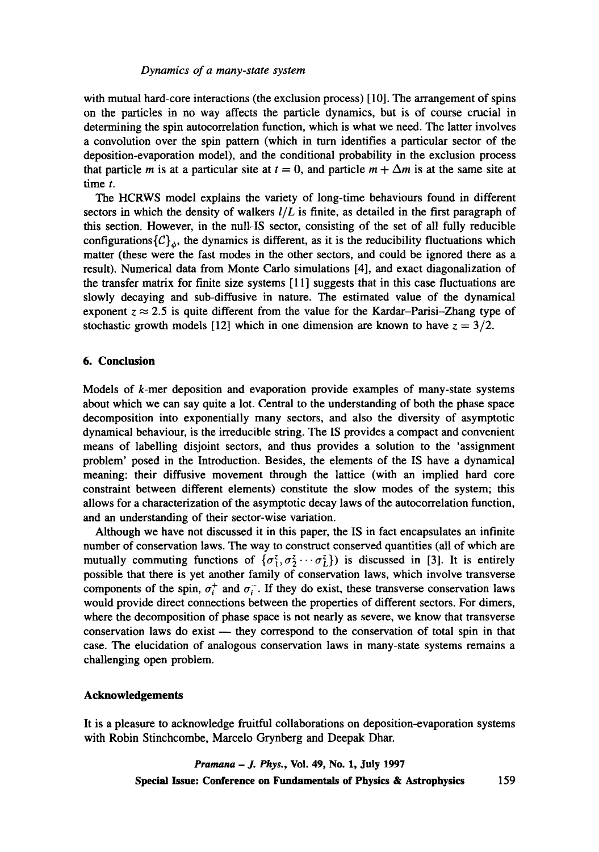#### *Dynamics of a many-state system*

with mutual hard-core interactions (the exclusion process) [10]. The arrangement of spins on the particles in no way affects the particle dynamics, but is of course crucial in determining the spin autocorrelation function, which is what we need. The latter involves a convolution over the spin pattern (which in turn identifies a particular sector of the deposition-evaporation model), and the conditional probability in the exclusion process that particle m is at a particular site at  $t = 0$ , and particle  $m + \Delta m$  is at the same site at time t.

The HCRWS model explains the variety of long-time behaviours found in different sectors in which the density of walkers *I/L* is finite, as detailed in the first paragraph of this section. However, in the null-IS sector, consisting of the set of all fully reducible configurations  ${C}_{a}$ , the dynamics is different, as it is the reducibility fluctuations which matter (these were the fast modes in the other sectors, and could be ignored there as a result). Numerical data from Monte Carlo simulations [4], and exact diagonalization of the transfer matrix for finite size systems [11] suggests that in this case fluctuations are slowly decaying and sub-diffusive in nature. The estimated value of the dynamical exponent  $z \approx 2.5$  is quite different from the value for the Kardar-Parisi-Zhang type of stochastic growth models [12] which in one dimension are known to have  $z = 3/2$ .

## **6. Conclusion**

Models of  $k$ -mer deposition and evaporation provide examples of many-state systems about which we can say quite a lot. Central to the understanding of both the phase space decomposition into exponentially many sectors, and also the diversity of asymptotic dynamical behaviour, is the irreducible string. The IS provides a compact and convenient means of labelling disjoint sectors, and thus provides a solution to the 'assignment problem' posed in the Introduction. Besides, the elements of the IS have a dynamical meaning: their diffusive movement through the lattice (with an implied hard core constraint between different elements) constitute the slow modes of the system; this allows for a characterization of the asymptotic decay laws of the autocorrelation function, and an understanding of their sector-wise variation.

Although we have not discussed it in this paper, the IS in fact encapsulates an infinite number of conservation laws. The way to construct conserved quantities (all of which are mutually commuting functions of  $\{\sigma_1^2, \sigma_2^2 \cdots \sigma_l^2\}$  is discussed in [3]. It is entirely possible that there is yet another family of conservation laws, which involve transverse components of the spin,  $\sigma_i^+$  and  $\sigma_i^-$ . If they do exist, these transverse conservation laws would provide direct connections between the properties of different sectors. For dimers, where the decomposition of phase space is not nearly as severe, we know that transverse  $\zeta$  conservation laws do exist  $-$  they correspond to the conservation of total spin in that case. The elucidation of analogous conservation laws in many-state systems remains a challenging open problem.

#### **Acknowledgements**

It is a pleasure to acknowledge fruitful collaborations on deposition-evaporation systems with Robin Stinchcombe, Marcelo Grynberg and Deepak Dhar.

> *Pranmna - J. Phys.,* **Vol. 49, No. 1, July 1997 Special Issue: Conference on Fundamentals of Physics & Astrophysics** 159